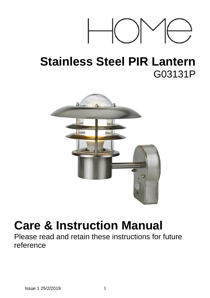

# **Stainless Steel PIR Lantern** G03131P



# **Care & Instruction Manual**

Please read and retain these instructions for future reference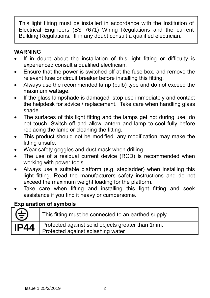This light fitting must be installed in accordance with the Institution of Electrical Engineers (BS 7671) Wiring Regulations and the current Building Regulations. If in any doubt consult a qualified electrician.

# **WARNING**

- If in doubt about the installation of this light fitting or difficulty is experienced consult a qualified electrician.
- Ensure that the power is switched off at the fuse box, and remove the relevant fuse or circuit breaker before installing this fitting.
- Always use the recommended lamp (bulb) type and do not exceed the maximum wattage.
- If the glass lampshade is damaged, stop use immediately and contact the helpdesk for advice / replacement. Take care when handling glass shade.
- The surfaces of this light fitting and the lamps get hot during use, do not touch. Switch off and allow lantern and lamp to cool fully before replacing the lamp or cleaning the fitting.
- This product should not be modified, any modification may make the fitting unsafe.
- Wear safety goggles and dust mask when drilling.
- The use of a residual current device (RCD) is recommended when working with power tools.
- Always use a suitable platform (e.g. stepladder) when installing this light fitting. Read the manufacturers safety instructions and do not exceed the maximum weight loading for the platform.
- Take care when lifting and installing this light fitting and seek assistance if you find it heavy or cumbersome.

# **Explanation of symbols**

| ⊕           | This fitting must be connected to an earthed supply.                                   |
|-------------|----------------------------------------------------------------------------------------|
| <b>IP44</b> | Protected against solid objects greater than 1mm.<br>Protected against splashing water |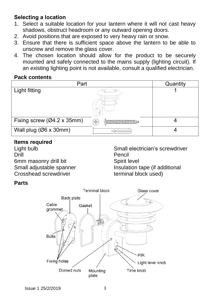# **Selecting a location**

- 1. Select a suitable location for your lantern where it will not cast heavy shadows, obstruct headroom or any outward opening doors.
- 2. Avoid positions that are exposed to very heavy rain or snow.
- 3. Ensure that there is sufficient space above the lantern to be able to unscrew and remove the glass cover.
- 4. The chosen location should allow for the product to be securely mounted and safely connected to the mains supply (lighting circuit). If an existing lighting point is not available, consult a qualified electrician.

#### **Pack contents**

| Part                       | Quantity                |  |
|----------------------------|-------------------------|--|
| Light fitting              |                         |  |
| Fixing screw (Ø4.2 x 35mm) | ╬<br><b>MANAMANAMAN</b> |  |
| Wall plug (Ø6 x 30mm)      |                         |  |

#### **Items required**

Light bulb Drill 6mm masonry drill bit Small adjustable spanner Crosshead screwdriver

Small electrician's screwdriver Pencil Spirit level Insulation tape (if additional terminal block used)

# **Parts**

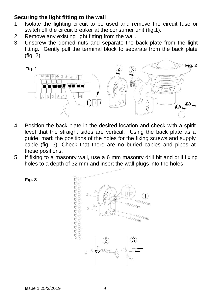# **Securing the light fitting to the wall**

- 1. Isolate the lighting circuit to be used and remove the circuit fuse or switch off the circuit breaker at the consumer unit (fig.1).
- 2. Remove any existing light fitting from the wall.
- 3. Unscrew the domed nuts and separate the back plate from the light fitting. Gently pull the terminal block to separate from the back plate (fig. 2).



- 4. Position the back plate in the desired location and check with a spirit level that the straight sides are vertical. Using the back plate as a guide, mark the positions of the holes for the fixing screws and supply cable (fig. 3). Check that there are no buried cables and pipes at these positions.
- 5. If fixing to a masonry wall, use a 6 mm masonry drill bit and drill fixing holes to a depth of 32 mm and insert the wall plugs into the holes.



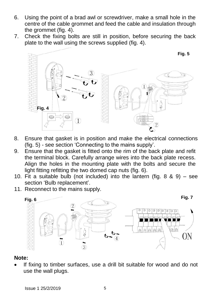- 6. Using the point of a brad awl or screwdriver, make a small hole in the centre of the cable grommet and feed the cable and insulation through the grommet (fig. 4).
- 7. Check the fixing bolts are still in position, before securing the back plate to the wall using the screws supplied (fig. 4).



- 8. Ensure that gasket is in position and make the electrical connections (fig. 5) - see section 'Connecting to the mains supply'.
- 9. Ensure that the gasket is fitted onto the rim of the back plate and refit the terminal block. Carefully arrange wires into the back plate recess. Align the holes in the mounting plate with the bolts and secure the light fitting refitting the two domed cap nuts (fig. 6).
- 10. Fit a suitable bulb (not included) into the lantern (fig. 8 & 9) see section 'Bulb replacement'.
- 11. Reconnect to the mains supply.



#### **Note:**

 If fixing to timber surfaces, use a drill bit suitable for wood and do not use the wall plugs.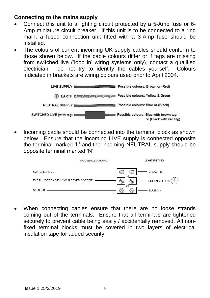# **Connecting to the mains supply**

- Connect this unit to a lighting circuit protected by a 5-Amp fuse or 6- Amp miniature circuit breaker. If this unit is to be connected to a ring main, a fused connection unit fitted with a 3-Amp fuse should be installed.
- The colours of current incoming UK supply cables should conform to those shown below. If the cable colours differ or if tags are missing from switched live ('loop in' wiring systems only), contact a qualified electrician - do not try to identify the cables yourself. Colours indicated in brackets are wiring colours used prior to April 2004.



 Incoming cable should be connected into the terminal block as shown below. Ensure that the incoming LIVE supply is connected opposite the terminal marked 'L' and the incoming NEUTRAL supply should be opposite terminal marked 'N'.



 When connecting cables ensure that there are no loose strands coming out of the terminals. Ensure that all terminals are tightened securely to prevent cable being easily / accidentally removed. All nonfixed terminal blocks must be covered in two layers of electrical insulation tape for added security.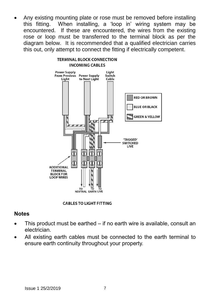Any existing mounting plate or rose must be removed before installing this fitting. When installing, a 'loop in' wiring system may be encountered. If these are encountered, the wires from the existing rose or loop must be transferred to the terminal block as per the diagram below. It is recommended that a qualified electrician carries this out, only attempt to connect the fitting if electrically competent.



#### **CABLES TO LIGHT FITTING**

#### **Notes**

- This product must be earthed if no earth wire is available, consult an electrician.
- All existing earth cables must be connected to the earth terminal to ensure earth continuity throughout your property.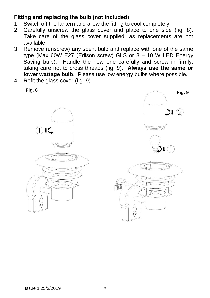# **Fitting and replacing the bulb (not included)**

- 1. Switch off the lantern and allow the fitting to cool completely.
- 2. Carefully unscrew the glass cover and place to one side (fig. 8). Take care of the glass cover supplied, as replacements are not available.
- 3. Remove (unscrew) any spent bulb and replace with one of the same type (Max 60W E27 (Edison screw) GLS or 8 – 10 W LED Energy Saving bulb). Handle the new one carefully and screw in firmly, taking care not to cross threads (fig. 9). **Always use the same or lower wattage bulb**. Please use low energy bulbs where possible.
- 4. Refit the glass cover (fig. 9).

**Fig. 8**



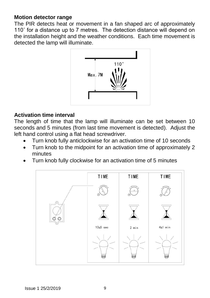#### **Motion detector range**

The PIR detects heat or movement in a fan shaped arc of approximately 110˚ for a distance up to 7 metres. The detection distance will depend on the installation height and the weather conditions. Each time movement is detected the lamp will illuminate.



#### **Activation time interval**

The length of time that the lamp will illuminate can be set between 10 seconds and 5 minutes (from last time movement is detected). Adjust the left hand control using a flat head screwdriver.

- Turn knob fully anticlockwise for an activation time of 10 seconds
- Turn knob to the midpoint for an activation time of approximately 2 minutes
- Turn knob fully clockwise for an activation time of 5 minutes

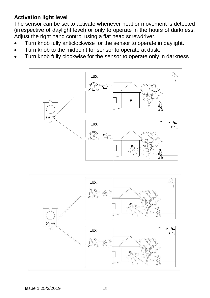# **Activation light level**

The sensor can be set to activate whenever heat or movement is detected (irrespective of daylight level) or only to operate in the hours of darkness. Adjust the right hand control using a flat head screwdriver.

- Turn knob fully anticlockwise for the sensor to operate in daylight.
- Turn knob to the midpoint for sensor to operate at dusk.
- Turn knob fully clockwise for the sensor to operate only in darkness